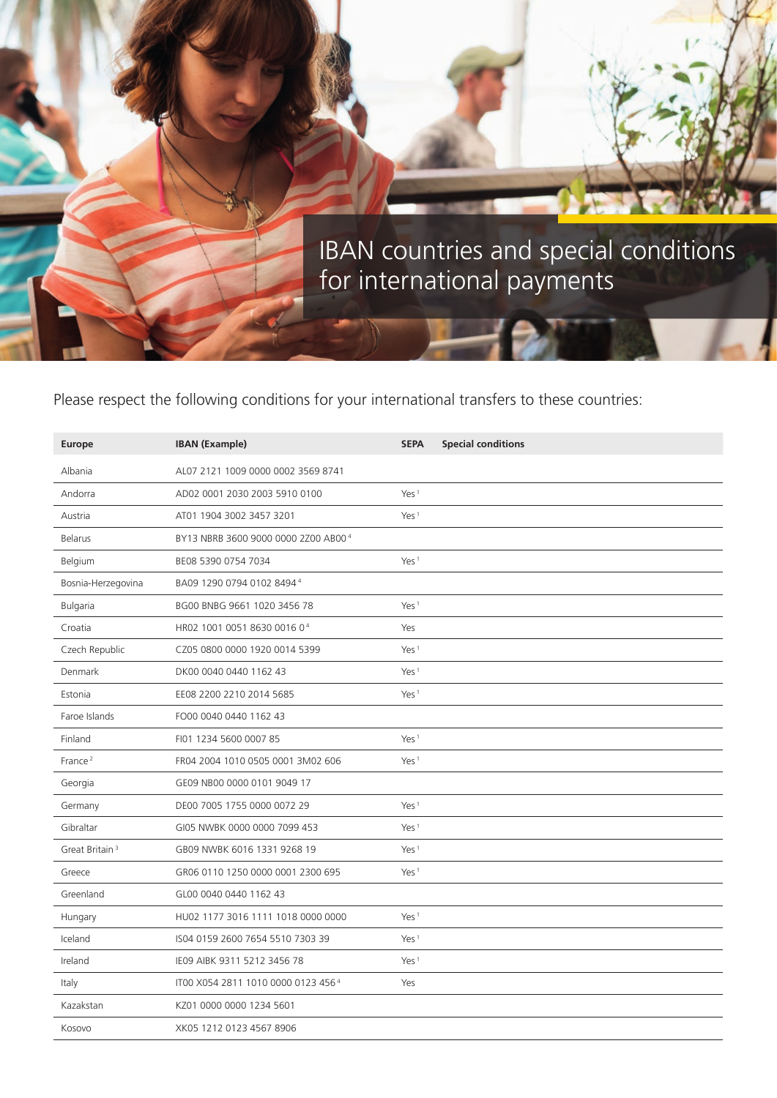

## Please respect the following conditions for your international transfers to these countries:

| <b>Europe</b>              | <b>IBAN (Example)</b>               | <b>SEPA</b>      | <b>Special conditions</b> |
|----------------------------|-------------------------------------|------------------|---------------------------|
| Albania                    | AL07 2121 1009 0000 0002 3569 8741  |                  |                           |
| Andorra                    | AD02 0001 2030 2003 5910 0100       | Yes <sup>1</sup> |                           |
| Austria                    | AT01 1904 3002 3457 3201            | Yes <sup>1</sup> |                           |
| <b>Belarus</b>             | BY13 NBRB 3600 9000 0000 2Z00 AB004 |                  |                           |
| Belgium                    | BE08 5390 0754 7034                 | Yes <sup>1</sup> |                           |
| Bosnia-Herzegovina         | BA09 1290 0794 0102 84944           |                  |                           |
| <b>Bulgaria</b>            | BG00 BNBG 9661 1020 3456 78         | Yes <sup>1</sup> |                           |
| Croatia                    | HR02 1001 0051 8630 0016 04         | Yes              |                           |
| Czech Republic             | CZ05 0800 0000 1920 0014 5399       | Yes <sup>1</sup> |                           |
| Denmark                    | DK00 0040 0440 1162 43              | Yes $1$          |                           |
| Estonia                    | EE08 2200 2210 2014 5685            | Yes <sup>1</sup> |                           |
| Faroe Islands              | FO00 0040 0440 1162 43              |                  |                           |
| Finland                    | FI01 1234 5600 0007 85              | Yes <sup>1</sup> |                           |
| France <sup>2</sup>        | FR04 2004 1010 0505 0001 3M02 606   | Yes <sup>1</sup> |                           |
| Georgia                    | GE09 NB00 0000 0101 9049 17         |                  |                           |
| Germany                    | DE00 7005 1755 0000 0072 29         | Yes <sup>1</sup> |                           |
| Gibraltar                  | GI05 NWBK 0000 0000 7099 453        | Yes <sup>1</sup> |                           |
| Great Britain <sup>3</sup> | GB09 NWBK 6016 1331 9268 19         | Yes <sup>1</sup> |                           |
| Greece                     | GR06 0110 1250 0000 0001 2300 695   | Yes <sup>1</sup> |                           |
| Greenland                  | GL00 0040 0440 1162 43              |                  |                           |
| Hungary                    | HU02 1177 3016 1111 1018 0000 0000  | Yes <sup>1</sup> |                           |
| Iceland                    | IS04 0159 2600 7654 5510 7303 39    | Yes <sup>1</sup> |                           |
| Ireland                    | IE09 AIBK 9311 5212 3456 78         | Yes <sup>1</sup> |                           |
| Italy                      | IT00 X054 2811 1010 0000 0123 4564  | Yes              |                           |
| Kazakstan                  | KZ01 0000 0000 1234 5601            |                  |                           |
| Kosovo                     | XK05 1212 0123 4567 8906            |                  |                           |
|                            |                                     |                  |                           |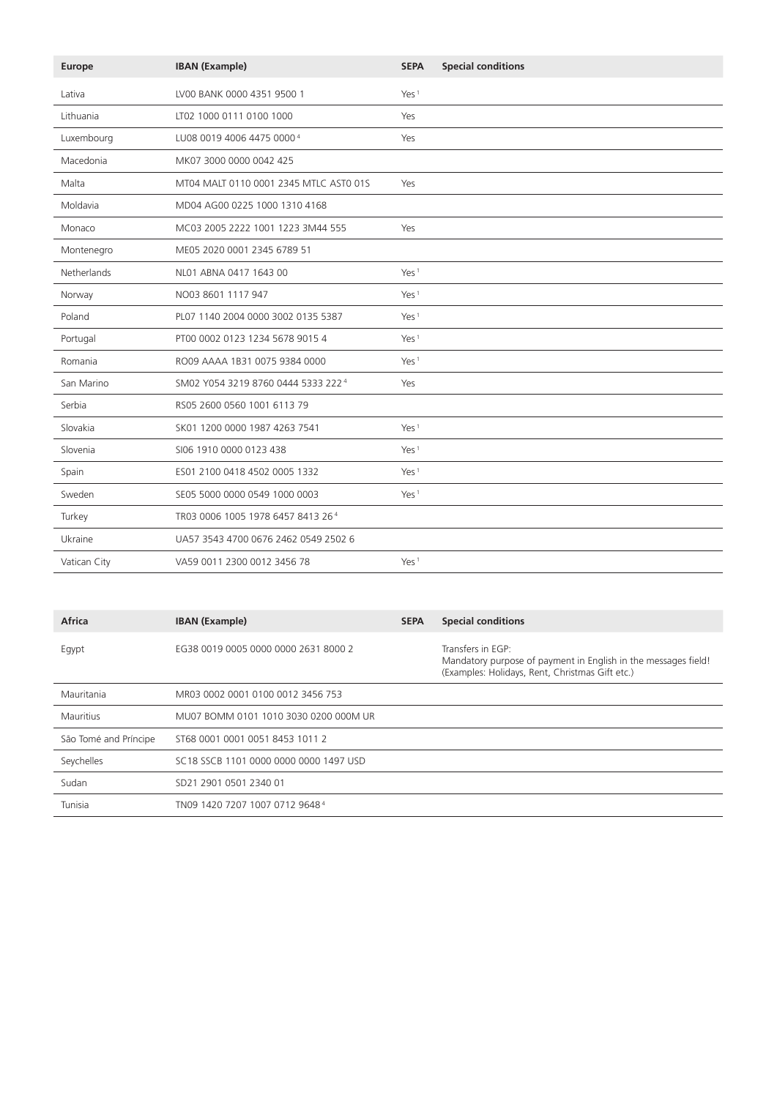| Europe       | <b>IBAN</b> (Example)                  | <b>SEPA</b>      | <b>Special conditions</b> |
|--------------|----------------------------------------|------------------|---------------------------|
| Lativa       | LV00 BANK 0000 4351 9500 1             | Yes <sup>1</sup> |                           |
| Lithuania    | LT02 1000 0111 0100 1000               | Yes              |                           |
| Luxembourg   | LU08 0019 4006 4475 00004              | Yes              |                           |
| Macedonia    | MK07 3000 0000 0042 425                |                  |                           |
| Malta        | MT04 MALT 0110 0001 2345 MTLC AST0 01S | Yes              |                           |
| Moldavia     | MD04 AG00 0225 1000 1310 4168          |                  |                           |
| Monaco       | MC03 2005 2222 1001 1223 3M44 555      | Yes              |                           |
| Montenegro   | ME05 2020 0001 2345 6789 51            |                  |                           |
| Netherlands  | NL01 ABNA 0417 1643 00                 | Yes <sup>1</sup> |                           |
| Norway       | NO03 8601 1117 947                     | Yes <sup>1</sup> |                           |
| Poland       | PL07 1140 2004 0000 3002 0135 5387     | Yes <sup>1</sup> |                           |
| Portugal     | PT00 0002 0123 1234 5678 9015 4        | Yes <sup>1</sup> |                           |
| Romania      | RO09 AAAA 1B31 0075 9384 0000          | Yes <sup>1</sup> |                           |
| San Marino   | SM02 Y054 3219 8760 0444 5333 2224     | Yes              |                           |
| Serbia       | RS05 2600 0560 1001 6113 79            |                  |                           |
| Slovakia     | SK01 1200 0000 1987 4263 7541          | Yes <sup>1</sup> |                           |
| Slovenia     | SI06 1910 0000 0123 438                | Yes <sup>1</sup> |                           |
| Spain        | ES01 2100 0418 4502 0005 1332          | Yes <sup>1</sup> |                           |
| Sweden       | SE05 5000 0000 0549 1000 0003          | Yes <sup>1</sup> |                           |
| Turkey       | TR03 0006 1005 1978 6457 8413 264      |                  |                           |
| Ukraine      | UA57 3543 4700 0676 2462 0549 2502 6   |                  |                           |
| Vatican City | VA59 0011 2300 0012 3456 78            | Yes <sup>1</sup> |                           |

| Africa                | <b>IBAN (Example)</b>                      | <b>SEPA</b> | <b>Special conditions</b>                                                                                                              |
|-----------------------|--------------------------------------------|-------------|----------------------------------------------------------------------------------------------------------------------------------------|
| Egypt                 | EG38 0019 0005 0000 0000 2631 8000 2       |             | Transfers in EGP:<br>Mandatory purpose of payment in English in the messages field!<br>(Examples: Holidays, Rent, Christmas Gift etc.) |
| Mauritania            | MR03 0002 0001 0100 0012 3456 753          |             |                                                                                                                                        |
| <b>Mauritius</b>      | MU07 BOMM 0101 1010 3030 0200 000M UR      |             |                                                                                                                                        |
| São Tomé and Príncipe | ST68 0001 0001 0051 8453 1011 2            |             |                                                                                                                                        |
| Seychelles            | SC18 SSCB 1101 0000 0000 0000 1497 USD     |             |                                                                                                                                        |
| Sudan                 | SD21 2901 0501 2340 01                     |             |                                                                                                                                        |
| Tunisia               | TN09 1420 7207 1007 0712 9648 <sup>4</sup> |             |                                                                                                                                        |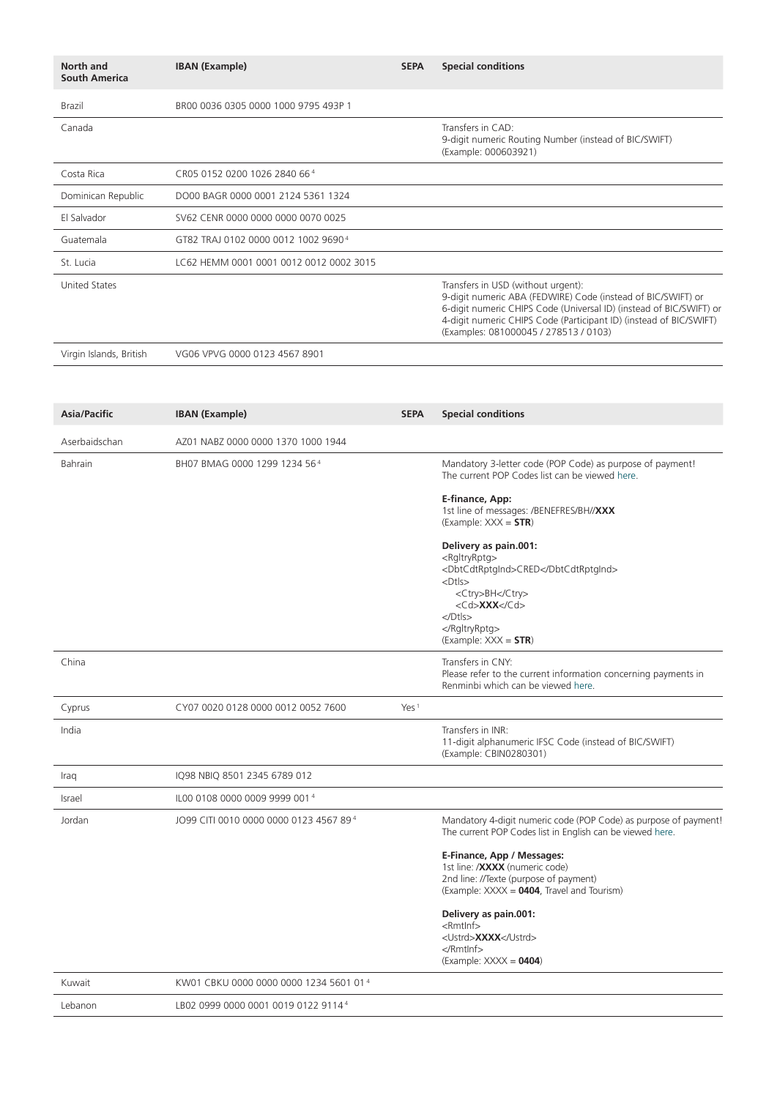| North and<br><b>South America</b> | <b>IBAN (Example)</b>                   | <b>SEPA</b> | <b>Special conditions</b>                                                                                                                                                                                                                                                                |
|-----------------------------------|-----------------------------------------|-------------|------------------------------------------------------------------------------------------------------------------------------------------------------------------------------------------------------------------------------------------------------------------------------------------|
| Brazil                            | BR00 0036 0305 0000 1000 9795 493P 1    |             |                                                                                                                                                                                                                                                                                          |
| Canada                            |                                         |             | Transfers in CAD:<br>9-digit numeric Routing Number (instead of BIC/SWIFT)<br>(Example: 000603921)                                                                                                                                                                                       |
| Costa Rica                        | CR05 0152 0200 1026 2840 664            |             |                                                                                                                                                                                                                                                                                          |
| Dominican Republic                | DO00 BAGR 0000 0001 2124 5361 1324      |             |                                                                                                                                                                                                                                                                                          |
| El Salvador                       | SV62 CENR 0000 0000 0000 0070 0025      |             |                                                                                                                                                                                                                                                                                          |
| Guatemala                         | GT82 TRAJ 0102 0000 0012 1002 96904     |             |                                                                                                                                                                                                                                                                                          |
| St. Lucia                         | LC62 HEMM 0001 0001 0012 0012 0002 3015 |             |                                                                                                                                                                                                                                                                                          |
| <b>United States</b>              |                                         |             | Transfers in USD (without urgent):<br>9-digit numeric ABA (FEDWIRE) Code (instead of BIC/SWIFT) or<br>6-digit numeric CHIPS Code (Universal ID) (instead of BIC/SWIFT) or<br>4-digit numeric CHIPS Code (Participant ID) (instead of BIC/SWIFT)<br>(Examples: 081000045 / 278513 / 0103) |
| Virgin Islands, British           | VG06 VPVG 0000 0123 4567 8901           |             |                                                                                                                                                                                                                                                                                          |
|                                   |                                         |             |                                                                                                                                                                                                                                                                                          |

| <b>Asia/Pacific</b> | <b>IBAN</b> (Example)                  | <b>SEPA</b>      | <b>Special conditions</b>                                                                                                                                                                                                                |
|---------------------|----------------------------------------|------------------|------------------------------------------------------------------------------------------------------------------------------------------------------------------------------------------------------------------------------------------|
| Aserbaidschan       | AZ01 NABZ 0000 0000 1370 1000 1944     |                  |                                                                                                                                                                                                                                          |
| <b>Bahrain</b>      | BH07 BMAG 0000 1299 1234 564           |                  | Mandatory 3-letter code (POP Code) as purpose of payment!<br>The current POP Codes list can be viewed here.                                                                                                                              |
|                     |                                        |                  | E-finance, App:<br>1st line of messages: /BENEFRES/BH//XXX<br>$(Example: XXX = STR)$                                                                                                                                                     |
|                     |                                        |                  | Delivery as pain.001:<br><rgltryrptg><br/><dbtcdtrptgind>CRED</dbtcdtrptgind><br/><math>&lt;</math>Dtls<math>&gt;</math><br/><ctry>BH</ctry><br/><cd>XXX</cd><br/><math>&lt;</math>/Dtls&gt;<br/></rgltryrptg><br>$(Example: XXX = STR)$ |
| China               |                                        |                  | Transfers in CNY:<br>Please refer to the current information concerning payments in<br>Renminbi which can be viewed here.                                                                                                                |
| Cyprus              | CY07 0020 0128 0000 0012 0052 7600     | Yes <sup>1</sup> |                                                                                                                                                                                                                                          |
| India               |                                        |                  | Transfers in INR:<br>11-digit alphanumeric IFSC Code (instead of BIC/SWIFT)<br>(Example: CBIN0280301)                                                                                                                                    |
| Iraq                | IQ98 NBIQ 8501 2345 6789 012           |                  |                                                                                                                                                                                                                                          |
| Israel              | IL00 0108 0000 0009 9999 0014          |                  |                                                                                                                                                                                                                                          |
| Jordan              | JO99 CITI 0010 0000 0000 0123 4567 894 |                  | Mandatory 4-digit numeric code (POP Code) as purpose of payment!<br>The current POP Codes list in English can be viewed here.                                                                                                            |
|                     |                                        |                  | E-Finance, App / Messages:<br>1st line: / <b>XXXX</b> (numeric code)<br>2nd line: //Texte (purpose of payment)<br>(Example: XXXX = 0404, Travel and Tourism)                                                                             |
|                     |                                        |                  | Delivery as pain.001:<br>$<$ Rmtlnf $>$<br><ustrd>XXXX</ustrd><br><br>$(Example: XXXX = 0404)$                                                                                                                                           |
| Kuwait              | KW01 CBKU 0000 0000 0000 1234 5601 014 |                  |                                                                                                                                                                                                                                          |
| Lebanon             | LB02 0999 0000 0001 0019 0122 91144    |                  |                                                                                                                                                                                                                                          |
|                     |                                        |                  |                                                                                                                                                                                                                                          |